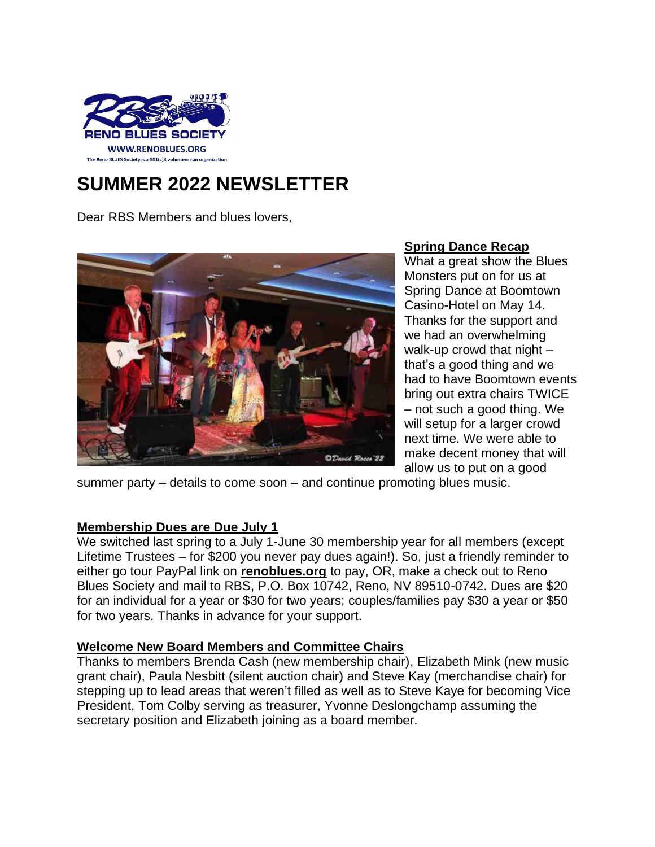

# **SUMMER 2022 NEWSLETTER**

Dear RBS Members and blues lovers,



**Spring Dance Recap** What a great show the Blues Monsters put on for us at Spring Dance at Boomtown Casino-Hotel on May 14. Thanks for the support and we had an overwhelming walk-up crowd that night – that's a good thing and we had to have Boomtown events bring out extra chairs TWICE – not such a good thing. We will setup for a larger crowd next time. We were able to make decent money that will allow us to put on a good

summer party – details to come soon – and continue promoting blues music.

## **Membership Dues are Due July 1**

We switched last spring to a July 1-June 30 membership year for all members (except Lifetime Trustees – for \$200 you never pay dues again!). So, just a friendly reminder to either go tour PayPal link on **renoblues.org** to pay, OR, make a check out to Reno Blues Society and mail to RBS, P.O. Box 10742, Reno, NV 89510-0742. Dues are \$20 for an individual for a year or \$30 for two years; couples/families pay \$30 a year or \$50 for two years. Thanks in advance for your support.

# **Welcome New Board Members and Committee Chairs**

Thanks to members Brenda Cash (new membership chair), Elizabeth Mink (new music grant chair), Paula Nesbitt (silent auction chair) and Steve Kay (merchandise chair) for stepping up to lead areas that weren't filled as well as to Steve Kaye for becoming Vice President, Tom Colby serving as treasurer, Yvonne Deslongchamp assuming the secretary position and Elizabeth joining as a board member.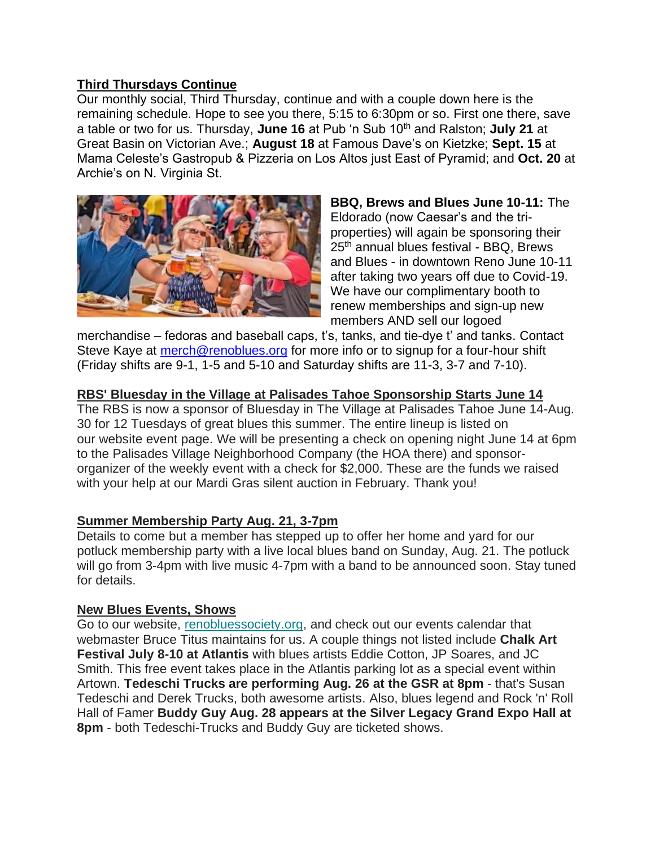## **Third Thursdays Continue**

Our monthly social, Third Thursday, continue and with a couple down here is the remaining schedule. Hope to see you there, 5:15 to 6:30pm or so. First one there, save a table or two for us. Thursday, **June 16** at Pub 'n Sub 10th and Ralston; **July 21** at Great Basin on Victorian Ave.; **August 18** at Famous Dave's on Kietzke; **Sept. 15** at Mama Celeste's Gastropub & Pizzeria on Los Altos just East of Pyramid; and **Oct. 20** at Archie's on N. Virginia St.



**BBQ, Brews and Blues June 10-11:** The Eldorado (now Caesar's and the triproperties) will again be sponsoring their 25<sup>th</sup> annual blues festival - BBQ, Brews and Blues - in downtown Reno June 10-11 after taking two years off due to Covid-19. We have our complimentary booth to renew memberships and sign-up new members AND sell our logoed

merchandise – fedoras and baseball caps, t's, tanks, and tie-dye t' and tanks. Contact Steve Kaye at [merch@renoblues.org](mailto:merch@renoblues.org) for more info or to signup for a four-hour shift (Friday shifts are 9-1, 1-5 and 5-10 and Saturday shifts are 11-3, 3-7 and 7-10).

#### **RBS' Bluesday in the Village at Palisades Tahoe Sponsorship Starts June 14**

The RBS is now a sponsor of Bluesday in The Village at Palisades Tahoe June 14-Aug. 30 for 12 Tuesdays of great blues this summer. The entire lineup is listed on our website event page. We will be presenting a check on opening night June 14 at 6pm to the Palisades Village Neighborhood Company (the HOA there) and sponsororganizer of the weekly event with a check for \$2,000. These are the funds we raised with your help at our Mardi Gras silent auction in February. Thank you!

## **Summer Membership Party Aug. 21, 3-7pm**

Details to come but a member has stepped up to offer her home and yard for our potluck membership party with a live local blues band on Sunday, Aug. 21. The potluck will go from 3-4pm with live music 4-7pm with a band to be announced soon. Stay tuned for details.

#### **New Blues Events, Shows**

Go to our website, [renobluessociety.org,](https://renoblues.us4.list-manage.com/track/click?u=a38f54900a65f93d09213f4c2&id=1b7ec86b1f&e=2a65990301) and check out our events calendar that webmaster Bruce Titus maintains for us. A couple things not listed include **Chalk Art Festival July 8-10 at Atlantis** with blues artists Eddie Cotton, JP Soares, and JC Smith. This free event takes place in the Atlantis parking lot as a special event within Artown. **Tedeschi Trucks are performing Aug. 26 at the GSR at 8pm** - that's Susan Tedeschi and Derek Trucks, both awesome artists. Also, blues legend and Rock 'n' Roll Hall of Famer **Buddy Guy Aug. 28 appears at the Silver Legacy Grand Expo Hall at 8pm** - both Tedeschi-Trucks and Buddy Guy are ticketed shows.